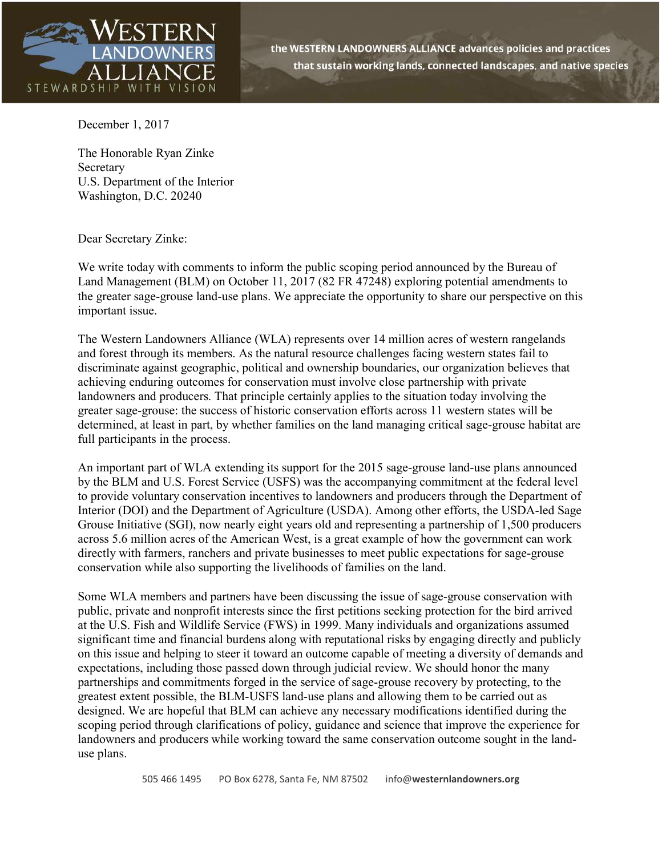

December 1, 2017

The Honorable Ryan Zinke Secretary U.S. Department of the Interior Washington, D.C. 20240

Dear Secretary Zinke:

We write today with comments to inform the public scoping period announced by the Bureau of Land Management (BLM) on October 11, 2017 (82 FR 47248) exploring potential amendments to the greater sage-grouse land-use plans. We appreciate the opportunity to share our perspective on this important issue.

The Western Landowners Alliance (WLA) represents over 14 million acres of western rangelands and forest through its members. As the natural resource challenges facing western states fail to discriminate against geographic, political and ownership boundaries, our organization believes that achieving enduring outcomes for conservation must involve close partnership with private landowners and producers. That principle certainly applies to the situation today involving the greater sage-grouse: the success of historic conservation efforts across 11 western states will be determined, at least in part, by whether families on the land managing critical sage-grouse habitat are full participants in the process.

An important part of WLA extending its support for the 2015 sage-grouse land-use plans announced by the BLM and U.S. Forest Service (USFS) was the accompanying commitment at the federal level to provide voluntary conservation incentives to landowners and producers through the Department of Interior (DOI) and the Department of Agriculture (USDA). Among other efforts, the USDA-led Sage Grouse Initiative (SGI), now nearly eight years old and representing a partnership of 1,500 producers across 5.6 million acres of the American West, is a great example of how the government can work directly with farmers, ranchers and private businesses to meet public expectations for sage-grouse conservation while also supporting the livelihoods of families on the land.

Some WLA members and partners have been discussing the issue of sage-grouse conservation with public, private and nonprofit interests since the first petitions seeking protection for the bird arrived at the U.S. Fish and Wildlife Service (FWS) in 1999. Many individuals and organizations assumed significant time and financial burdens along with reputational risks by engaging directly and publicly on this issue and helping to steer it toward an outcome capable of meeting a diversity of demands and expectations, including those passed down through judicial review. We should honor the many partnerships and commitments forged in the service of sage-grouse recovery by protecting, to the greatest extent possible, the BLM-USFS land-use plans and allowing them to be carried out as designed. We are hopeful that BLM can achieve any necessary modifications identified during the scoping period through clarifications of policy, guidance and science that improve the experience for landowners and producers while working toward the same conservation outcome sought in the landuse plans.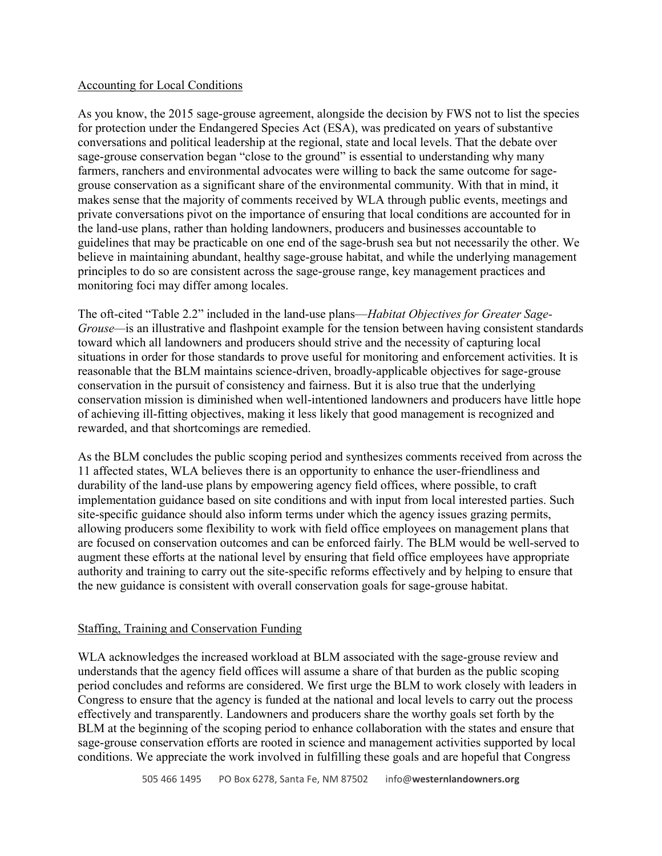## Accounting for Local Conditions

As you know, the 2015 sage-grouse agreement, alongside the decision by FWS not to list the species for protection under the Endangered Species Act (ESA), was predicated on years of substantive conversations and political leadership at the regional, state and local levels. That the debate over sage-grouse conservation began "close to the ground" is essential to understanding why many farmers, ranchers and environmental advocates were willing to back the same outcome for sagegrouse conservation as a significant share of the environmental community. With that in mind, it makes sense that the majority of comments received by WLA through public events, meetings and private conversations pivot on the importance of ensuring that local conditions are accounted for in the land-use plans, rather than holding landowners, producers and businesses accountable to guidelines that may be practicable on one end of the sage-brush sea but not necessarily the other. We believe in maintaining abundant, healthy sage-grouse habitat, and while the underlying management principles to do so are consistent across the sage-grouse range, key management practices and monitoring foci may differ among locales.

The oft-cited "Table 2.2" included in the land-use plans—*Habitat Objectives for Greater Sage-Grouse—*is an illustrative and flashpoint example for the tension between having consistent standards toward which all landowners and producers should strive and the necessity of capturing local situations in order for those standards to prove useful for monitoring and enforcement activities. It is reasonable that the BLM maintains science-driven, broadly-applicable objectives for sage-grouse conservation in the pursuit of consistency and fairness. But it is also true that the underlying conservation mission is diminished when well-intentioned landowners and producers have little hope of achieving ill-fitting objectives, making it less likely that good management is recognized and rewarded, and that shortcomings are remedied.

As the BLM concludes the public scoping period and synthesizes comments received from across the 11 affected states, WLA believes there is an opportunity to enhance the user-friendliness and durability of the land-use plans by empowering agency field offices, where possible, to craft implementation guidance based on site conditions and with input from local interested parties. Such site-specific guidance should also inform terms under which the agency issues grazing permits, allowing producers some flexibility to work with field office employees on management plans that are focused on conservation outcomes and can be enforced fairly. The BLM would be well-served to augment these efforts at the national level by ensuring that field office employees have appropriate authority and training to carry out the site-specific reforms effectively and by helping to ensure that the new guidance is consistent with overall conservation goals for sage-grouse habitat.

## Staffing, Training and Conservation Funding

WLA acknowledges the increased workload at BLM associated with the sage-grouse review and understands that the agency field offices will assume a share of that burden as the public scoping period concludes and reforms are considered. We first urge the BLM to work closely with leaders in Congress to ensure that the agency is funded at the national and local levels to carry out the process effectively and transparently. Landowners and producers share the worthy goals set forth by the BLM at the beginning of the scoping period to enhance collaboration with the states and ensure that sage-grouse conservation efforts are rooted in science and management activities supported by local conditions. We appreciate the work involved in fulfilling these goals and are hopeful that Congress